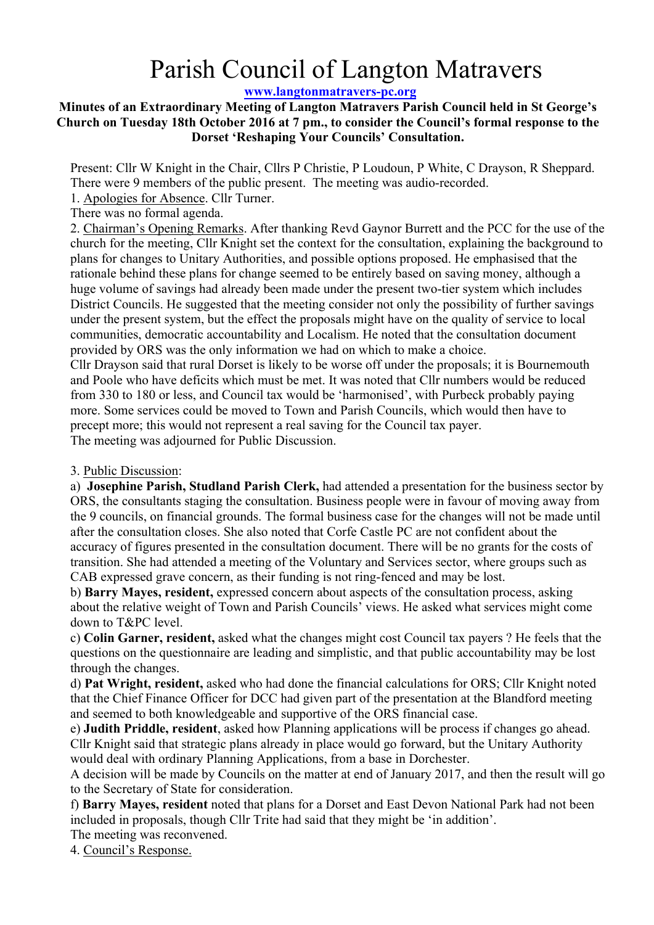# Parish Council of Langton Matravers

## **www.langtonmatravers-pc.org**

### **Minutes of an Extraordinary Meeting of Langton Matravers Parish Council held in St George's Church on Tuesday 18th October 2016 at 7 pm., to consider the Council's formal response to the Dorset 'Reshaping Your Councils' Consultation.**

Present: Cllr W Knight in the Chair, Cllrs P Christie, P Loudoun, P White, C Drayson, R Sheppard. There were 9 members of the public present. The meeting was audio-recorded.

1. Apologies for Absence. Cllr Turner.

There was no formal agenda.

2. Chairman's Opening Remarks. After thanking Revd Gaynor Burrett and the PCC for the use of the church for the meeting, Cllr Knight set the context for the consultation, explaining the background to plans for changes to Unitary Authorities, and possible options proposed. He emphasised that the rationale behind these plans for change seemed to be entirely based on saving money, although a huge volume of savings had already been made under the present two-tier system which includes District Councils. He suggested that the meeting consider not only the possibility of further savings under the present system, but the effect the proposals might have on the quality of service to local communities, democratic accountability and Localism. He noted that the consultation document provided by ORS was the only information we had on which to make a choice.

Cllr Drayson said that rural Dorset is likely to be worse off under the proposals; it is Bournemouth and Poole who have deficits which must be met. It was noted that Cllr numbers would be reduced from 330 to 180 or less, and Council tax would be 'harmonised', with Purbeck probably paying more. Some services could be moved to Town and Parish Councils, which would then have to precept more; this would not represent a real saving for the Council tax payer. The meeting was adjourned for Public Discussion.

### 3. Public Discussion:

a) **Josephine Parish, Studland Parish Clerk,** had attended a presentation for the business sector by ORS, the consultants staging the consultation. Business people were in favour of moving away from the 9 councils, on financial grounds. The formal business case for the changes will not be made until after the consultation closes. She also noted that Corfe Castle PC are not confident about the accuracy of figures presented in the consultation document. There will be no grants for the costs of transition. She had attended a meeting of the Voluntary and Services sector, where groups such as CAB expressed grave concern, as their funding is not ring-fenced and may be lost.

b) **Barry Mayes, resident,** expressed concern about aspects of the consultation process, asking about the relative weight of Town and Parish Councils' views. He asked what services might come down to T&PC level.

c) **Colin Garner, resident,** asked what the changes might cost Council tax payers ? He feels that the questions on the questionnaire are leading and simplistic, and that public accountability may be lost through the changes.

d) **Pat Wright, resident,** asked who had done the financial calculations for ORS; Cllr Knight noted that the Chief Finance Officer for DCC had given part of the presentation at the Blandford meeting and seemed to both knowledgeable and supportive of the ORS financial case.

e) **Judith Priddle, resident**, asked how Planning applications will be process if changes go ahead. Cllr Knight said that strategic plans already in place would go forward, but the Unitary Authority would deal with ordinary Planning Applications, from a base in Dorchester.

A decision will be made by Councils on the matter at end of January 2017, and then the result will go to the Secretary of State for consideration.

f) **Barry Mayes, resident** noted that plans for a Dorset and East Devon National Park had not been included in proposals, though Cllr Trite had said that they might be 'in addition'.

The meeting was reconvened.

4. Council's Response.